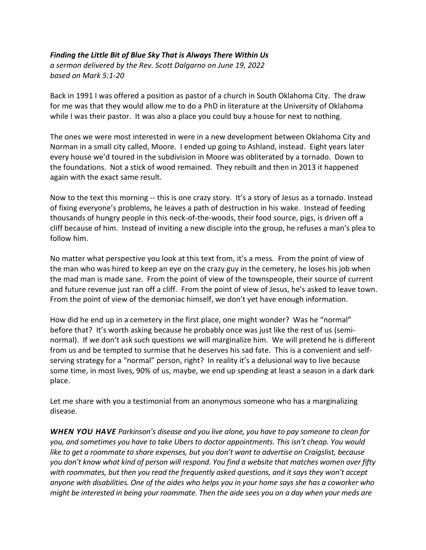## *Finding the Little Bit of Blue Sky That is Always There Within Us*

*a sermon delivered by the Rev. Scott Dalgarno on June 19, 2022 based on Mark 5:1-20* 

Back in 1991 I was offered a position as pastor of a church in South Oklahoma City. The draw for me was that they would allow me to do a PhD in literature at the University of Oklahoma while I was their pastor. It was also a place you could buy a house for next to nothing.

The ones we were most interested in were in a new development between Oklahoma City and Norman in a small city called, Moore. I ended up going to Ashland, instead. Eight years later every house we'd toured in the subdivision in Moore was obliterated by a tornado. Down to the foundations. Not a stick of wood remained. They rebuilt and then in 2013 it happened again with the exact same result.

Now to the text this morning -- this is one crazy story. It's a story of Jesus as a tornado. Instead of fixing everyone's problems, he leaves a path of destruction in his wake. Instead of feeding thousands of hungry people in this neck-of-the-woods, their food source, pigs, is driven off a cliff because of him. Instead of inviting a new disciple into the group, he refuses a man's plea to follow him.

No matter what perspective you look at this text from, it's a mess. From the point of view of the man who was hired to keep an eye on the crazy guy in the cemetery, he loses his job when the mad man is made sane. From the point of view of the townspeople, their source of current and future revenue just ran off a cliff. From the point of view of Jesus, he's asked to leave town. From the point of view of the demoniac himself, we don't yet have enough information.

How did he end up in a cemetery in the first place, one might wonder? Was he "normal" before that? It's worth asking because he probably once was just like the rest of us (seminormal). If we don't ask such questions we will marginalize him. We will pretend he is different from us and be tempted to surmise that he deserves his sad fate. This is a convenient and selfserving strategy for a "normal" person, right? In reality it's a delusional way to live because some time, in most lives, 90% of us, maybe, we end up spending at least a season in a dark dark place.

Let me share with you a testimonial from an anonymous someone who has a marginalizing disease.

*WHEN YOU HAVE Parkinson's disease and you live alone, you have to pay someone to clean for you, and sometimes you have to take Ubers to doctor appointments. This isn't cheap. You would like to get a roommate to share expenses, but you don't want to advertise on Craigslist, because you don't know what kind of person will respond. You find a website that matches women over fifty with roommates, but then you read the frequently asked questions, and it says they won't accept anyone with disabilities. One of the aides who helps you in your home says she has a coworker who might be interested in being your roommate. Then the aide sees you on a day when your meds are*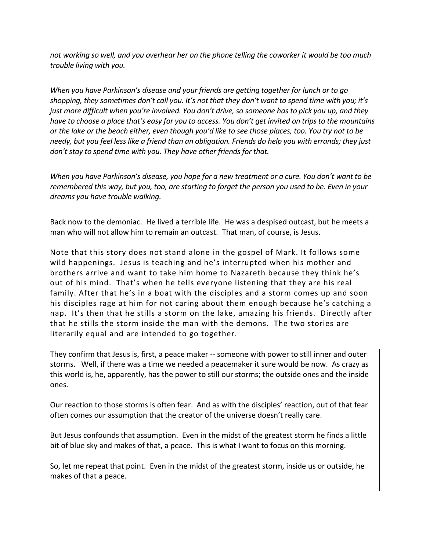*not working so well, and you overhear her on the phone telling the coworker it would be too much trouble living with you.*

*When you have Parkinson's disease and your friends are getting together for lunch or to go shopping, they sometimes don't call you. It's not that they don't want to spend time with you; it's just more difficult when you're involved. You don't drive, so someone has to pick you up, and they have to choose a place that's easy for you to access. You don't get invited on trips to the mountains or the lake or the beach either, even though you'd like to see those places, too. You try not to be needy, but you feel less like a friend than an obligation. Friends do help you with errands; they just don't stay to spend time with you. They have other friends for that.*

*When you have Parkinson's disease, you hope for a new treatment or a cure. You don't want to be remembered this way, but you, too, are starting to forget the person you used to be. Even in your dreams you have trouble walking.*

Back now to the demoniac. He lived a terrible life. He was a despised outcast, but he meets a man who will not allow him to remain an outcast. That man, of course, is Jesus.

Note that this story does not stand alone in the gospel of Mark. It follows some wild happenings. Jesus is teaching and he's interrupted when his mother and brothers arrive and want to take him home to Nazareth because they think he's out of his mind. That's when he tells everyone listening that they are his real family. After that he's in a boat with the disciples and a storm comes up and soon his disciples rage at him for not caring about them enough because he's catching a nap. It's then that he stills a storm on the lake, amazing his friends. Directly after that he stills the storm inside the man with the demons. The two stories are literarily equal and are intended to go together.

They confirm that Jesus is, first, a peace maker -- someone with power to still inner and outer storms. Well, if there was a time we needed a peacemaker it sure would be now. As crazy as this world is, he, apparently, has the power to still our storms; the outside ones and the inside ones.

Our reaction to those storms is often fear. And as with the disciples' reaction, out of that fear often comes our assumption that the creator of the universe doesn't really care.

But Jesus confounds that assumption. Even in the midst of the greatest storm he finds a little bit of blue sky and makes of that, a peace. This is what I want to focus on this morning.

So, let me repeat that point. Even in the midst of the greatest storm, inside us or outside, he makes of that a peace.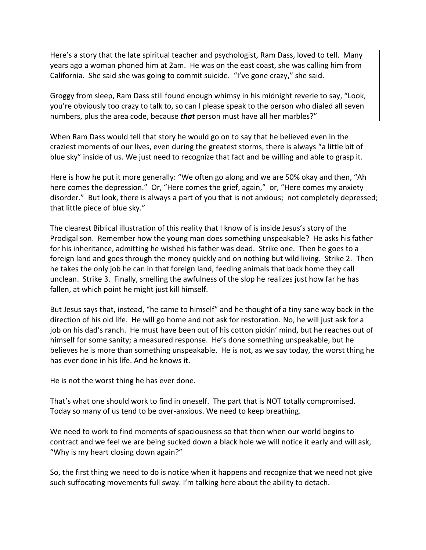Here's a story that the late spiritual teacher and psychologist, Ram Dass, loved to tell. Many years ago a woman phoned him at 2am. He was on the east coast, she was calling him from California. She said she was going to commit suicide. "I've gone crazy," she said.

Groggy from sleep, Ram Dass still found enough whimsy in his midnight reverie to say, "Look, you're obviously too crazy to talk to, so can I please speak to the person who dialed all seven numbers, plus the area code, because *that* person must have all her marbles?"

When Ram Dass would tell that story he would go on to say that he believed even in the craziest moments of our lives, even during the greatest storms, there is always "a little bit of blue sky" inside of us. We just need to recognize that fact and be willing and able to grasp it.

Here is how he put it more generally: "We often go along and we are 50% okay and then, "Ah here comes the depression." Or, "Here comes the grief, again," or, "Here comes my anxiety disorder." But look, there is always a part of you that is not anxious; not completely depressed; that little piece of blue sky."

The clearest Biblical illustration of this reality that I know of is inside Jesus's story of the Prodigal son. Remember how the young man does something unspeakable? He asks his father for his inheritance, admitting he wished his father was dead. Strike one. Then he goes to a foreign land and goes through the money quickly and on nothing but wild living. Strike 2. Then he takes the only job he can in that foreign land, feeding animals that back home they call unclean. Strike 3. Finally, smelling the awfulness of the slop he realizes just how far he has fallen, at which point he might just kill himself.

But Jesus says that, instead, "he came to himself" and he thought of a tiny sane way back in the direction of his old life. He will go home and not ask for restoration. No, he will just ask for a job on his dad's ranch. He must have been out of his cotton pickin' mind, but he reaches out of himself for some sanity; a measured response. He's done something unspeakable, but he believes he is more than something unspeakable. He is not, as we say today, the worst thing he has ever done in his life. And he knows it.

He is not the worst thing he has ever done.

That's what one should work to find in oneself. The part that is NOT totally compromised. Today so many of us tend to be over-anxious. We need to keep breathing.

We need to work to find moments of spaciousness so that then when our world begins to contract and we feel we are being sucked down a black hole we will notice it early and will ask, "Why is my heart closing down again?"

So, the first thing we need to do is notice when it happens and recognize that we need not give such suffocating movements full sway. I'm talking here about the ability to detach.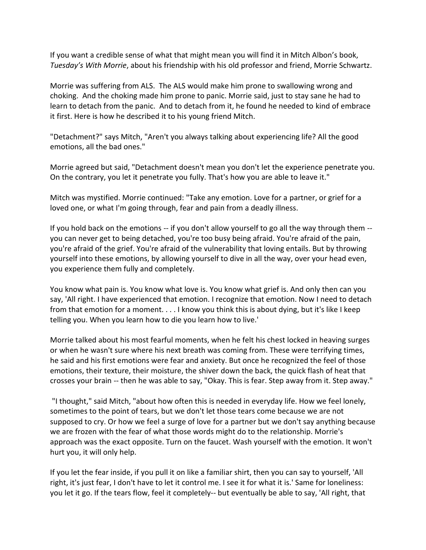If you want a credible sense of what that might mean you will find it in Mitch Albon's book, *Tuesday's With Morrie*, about his friendship with his old professor and friend, Morrie Schwartz.

Morrie was suffering from ALS. The ALS would make him prone to swallowing wrong and choking. And the choking made him prone to panic. Morrie said, just to stay sane he had to learn to detach from the panic. And to detach from it, he found he needed to kind of embrace it first. Here is how he described it to his young friend Mitch.

"Detachment?" says Mitch, "Aren't you always talking about experiencing life? All the good emotions, all the bad ones."

Morrie agreed but said, "Detachment doesn't mean you don't let the experience penetrate you. On the contrary, you let it penetrate you fully. That's how you are able to leave it."

Mitch was mystified. Morrie continued: "Take any emotion. Love for a partner, or grief for a loved one, or what I'm going through, fear and pain from a deadly illness.

If you hold back on the emotions -- if you don't allow yourself to go all the way through them - you can never get to being detached, you're too busy being afraid. You're afraid of the pain, you're afraid of the grief. You're afraid of the vulnerability that loving entails. But by throwing yourself into these emotions, by allowing yourself to dive in all the way, over your head even, you experience them fully and completely.

You know what pain is. You know what love is. You know what grief is. And only then can you say, 'All right. I have experienced that emotion. I recognize that emotion. Now I need to detach from that emotion for a moment. . . . I know you think this is about dying, but it's like I keep telling you. When you learn how to die you learn how to live.'

Morrie talked about his most fearful moments, when he felt his chest locked in heaving surges or when he wasn't sure where his next breath was coming from. These were terrifying times, he said and his first emotions were fear and anxiety. But once he recognized the feel of those emotions, their texture, their moisture, the shiver down the back, the quick flash of heat that crosses your brain -- then he was able to say, "Okay. This is fear. Step away from it. Step away."

"I thought," said Mitch, "about how often this is needed in everyday life. How we feel lonely, sometimes to the point of tears, but we don't let those tears come because we are not supposed to cry. Or how we feel a surge of love for a partner but we don't say anything because we are frozen with the fear of what those words might do to the relationship. Morrie's approach was the exact opposite. Turn on the faucet. Wash yourself with the emotion. It won't hurt you, it will only help.

If you let the fear inside, if you pull it on like a familiar shirt, then you can say to yourself, 'All right, it's just fear, I don't have to let it control me. I see it for what it is.' Same for loneliness: you let it go. If the tears flow, feel it completely-- but eventually be able to say, 'All right, that